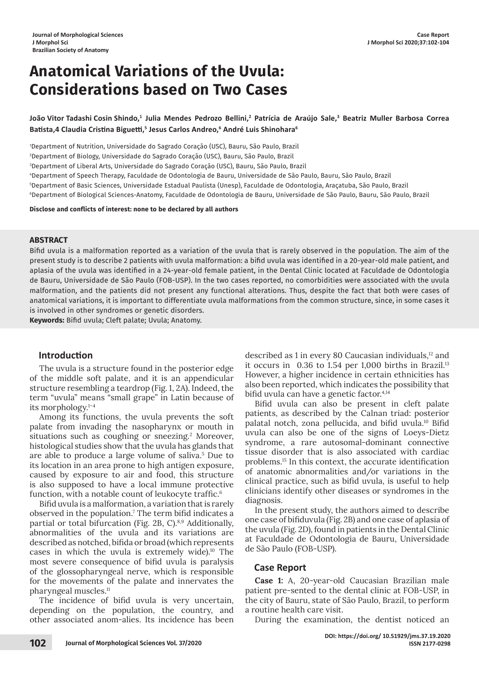# **Anatomical Variations of the Uvula: Considerations based on Two Cases**

João Vitor Tadashi Cosin Shindo,<sup>1</sup> Julia Mendes Pedrozo Bellini,<sup>2</sup> Patrícia de Araújo Sale,<sup>3</sup> Beatriz Muller Barbosa Correa **Batista,4 Claudia Cristina Biguetti,<sup>5</sup> Jesus Carlos Andreo,6 André Luis Shinohara6**

 Department of Nutrition, Universidade do Sagrado Coração (USC), Bauru, São Paulo, Brazil Department of Biology, Universidade do Sagrado Coração (USC), Bauru, São Paulo, Brazil Department of Liberal Arts, Universidade do Sagrado Coração (USC), Bauru, São Paulo, Brazil Department of Speech Therapy, Faculdade de Odontologia de Bauru, Universidade de São Paulo, Bauru, São Paulo, Brazil Department of Basic Sciences, Universidade Estadual Paulista (Unesp), Faculdade de Odontologia, Araçatuba, São Paulo, Brazil Department of Biological Sciences-Anatomy, Faculdade de Odontologia de Bauru, Universidade de São Paulo, Bauru, São Paulo, Brazil

**Disclose and conflicts of interest: none to be declared by all authors**

#### **ABSTRACT**

Bifid uvula is a malformation reported as a variation of the uvula that is rarely observed in the population. The aim of the present study is to describe 2 patients with uvula malformation: a bifid uvula was identified in a 20-year-old male patient, and aplasia of the uvula was identified in a 24-year-old female patient, in the Dental Clinic located at Faculdade de Odontologia de Bauru, Universidade de São Paulo (FOB-USP). In the two cases reported, no comorbidities were associated with the uvula malformation, and the patients did not present any functional alterations. Thus, despite the fact that both were cases of anatomical variations, it is important to differentiate uvula malformations from the common structure, since, in some cases it is involved in other syndromes or genetic disorders.

**Keywords:** Bifid uvula; Cleft palate; Uvula; Anatomy.

# **Introduction**

The uvula is a structure found in the posterior edge of the middle soft palate, and it is an appendicular structure resembling a teardrop (Fig. 1, 2A). Indeed, the term "uvula" means "small grape" in Latin because of its morphology.1–4

Among its functions, the uvula prevents the soft palate from invading the nasopharynx or mouth in situations such as coughing or sneezing.<sup>2</sup> Moreover, histological studies show that the uvula has glands that are able to produce a large volume of saliva.5 Due to its location in an area prone to high antigen exposure, caused by exposure to air and food, this structure is also supposed to have a local immune protective function, with a notable count of leukocyte traffic.<sup>6</sup>

Bifid uvula is a malformation, a variation that is rarely observed in the population.7 The term bifid indicates a partial or total bifurcation (Fig. 2B, C). $8,9$  Additionally, abnormalities of the uvula and its variations are described as notched, bifida or broad (which represents cases in which the uvula is extremely wide).10 The most severe consequence of bifid uvula is paralysis of the glossopharyngeal nerve, which is responsible for the movements of the palate and innervates the pharyngeal muscles.11

The incidence of bifid uvula is very uncertain, depending on the population, the country, and other associated anom-alies. Its incidence has been described as 1 in every 80 Caucasian individuals,<sup>12</sup> and it occurs in  $0.36$  to 1.54 per 1,000 births in Brazil.<sup>13</sup> However, a higher incidence in certain ethnicities has also been reported, which indicates the possibility that bifid uvula can have a genetic factor.4,14

Bifid uvula can also be present in cleft palate patients, as described by the Calnan triad: posterior palatal notch, zona pellucida, and bifid uvula.<sup>10</sup> Bifid uvula can also be one of the signs of Loeys-Dietz syndrome, a rare autosomal-dominant connective tissue disorder that is also associated with cardiac problems.15 In this context, the accurate identification of anatomic abnormalities and/or variations in the clinical practice, such as bifid uvula, is useful to help clinicians identify other diseases or syndromes in the diagnosis.

In the present study, the authors aimed to describe one case of bifiduvula (Fig. 2B) and one case of aplasia of the uvula (Fig. 2D), found in patients in the Dental Clinic at Faculdade de Odontologia de Bauru, Universidade de São Paulo (FOB-USP).

# **Case Report**

**Case 1:** A, 20-year-old Caucasian Brazilian male patient pre-sented to the dental clinic at FOB-USP, in the city of Bauru, state of São Paulo, Brazil, to perform a routine health care visit.

During the examination, the dentist noticed an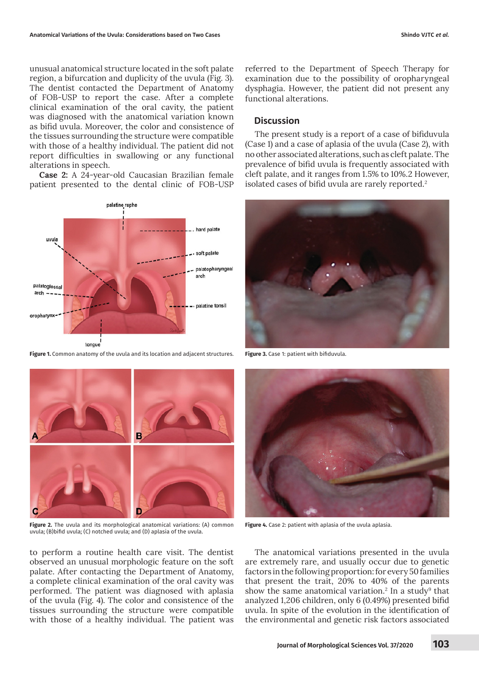unusual anatomical structure located in the soft palate region, a bifurcation and duplicity of the uvula (Fig. 3). The dentist contacted the Department of Anatomy of FOB-USP to report the case. After a complete clinical examination of the oral cavity, the patient was diagnosed with the anatomical variation known as bifid uvula. Moreover, the color and consistence of the tissues surrounding the structure were compatible with those of a healthy individual. The patient did not report difficulties in swallowing or any functional alterations in speech.

**Case 2:** A 24-year-old Caucasian Brazilian female patient presented to the dental clinic of FOB-USP



**Figure 1.** Common anatomy of the uvula and its location and adjacent structures. **Figure 3.** Case 1: patient with bifiduvula.



**Figure 2.** The uvula and its morphological anatomical variations: (A) common uvula; (B)bifid uvula; (C) notched uvula; and (D) aplasia of the uvula.

to perform a routine health care visit. The dentist observed an unusual morphologic feature on the soft palate. After contacting the Department of Anatomy, a complete clinical examination of the oral cavity was performed. The patient was diagnosed with aplasia of the uvula (Fig. 4). The color and consistence of the tissues surrounding the structure were compatible with those of a healthy individual. The patient was

referred to the Department of Speech Therapy for examination due to the possibility of oropharyngeal dysphagia. However, the patient did not present any functional alterations.

### **Discussion**

The present study is a report of a case of bifiduvula (Case 1) and a case of aplasia of the uvula (Case 2), with no other associated alterations, such as cleft palate. The prevalence of bifid uvula is frequently associated with cleft palate, and it ranges from 1.5% to 10%.2 However, isolated cases of bifid uvula are rarely reported.<sup>2</sup>





**Figure 4.** Case 2: patient with aplasia of the uvula aplasia.

The anatomical variations presented in the uvula are extremely rare, and usually occur due to genetic factors in the following proportion: for every 50 families that present the trait, 20% to 40% of the parents show the same anatomical variation.<sup>2</sup> In a study<sup>9</sup> that analyzed 1,206 children, only 6 (0.49%) presented bifid uvula. In spite of the evolution in the identification of the environmental and genetic risk factors associated